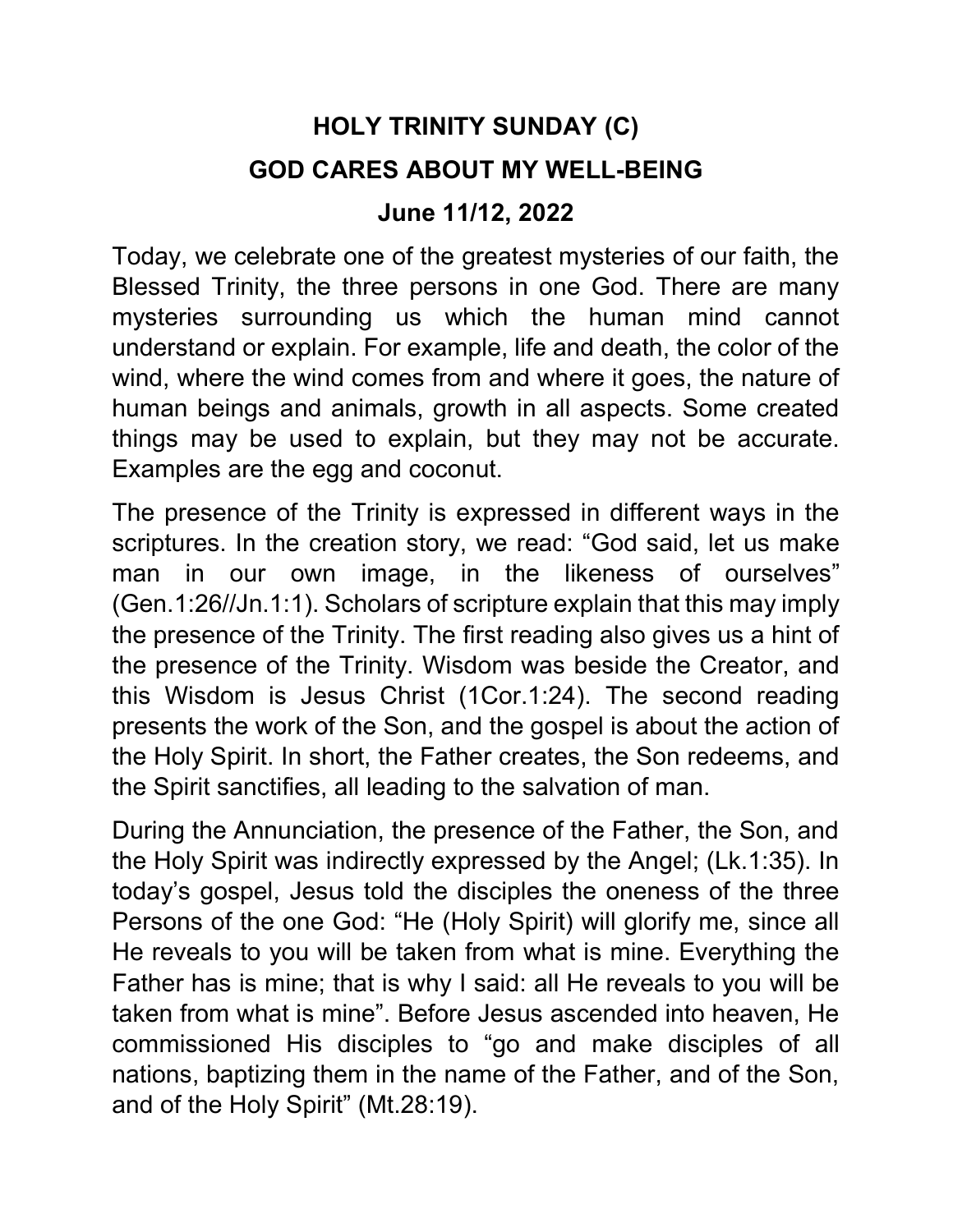## HOLY TRINITY SUNDAY (C) GOD CARES ABOUT MY WELL-BEING

## June 11/12, 2022

Today, we celebrate one of the greatest mysteries of our faith, the Blessed Trinity, the three persons in one God. There are many mysteries surrounding us which the human mind cannot understand or explain. For example, life and death, the color of the wind, where the wind comes from and where it goes, the nature of human beings and animals, growth in all aspects. Some created things may be used to explain, but they may not be accurate. Examples are the egg and coconut.

The presence of the Trinity is expressed in different ways in the scriptures. In the creation story, we read: "God said, let us make man in our own image, in the likeness of ourselves" (Gen.1:26//Jn.1:1). Scholars of scripture explain that this may imply the presence of the Trinity. The first reading also gives us a hint of the presence of the Trinity. Wisdom was beside the Creator, and this Wisdom is Jesus Christ (1Cor.1:24). The second reading presents the work of the Son, and the gospel is about the action of the Holy Spirit. In short, the Father creates, the Son redeems, and the Spirit sanctifies, all leading to the salvation of man.

During the Annunciation, the presence of the Father, the Son, and the Holy Spirit was indirectly expressed by the Angel; (Lk.1:35). In today's gospel, Jesus told the disciples the oneness of the three Persons of the one God: "He (Holy Spirit) will glorify me, since all He reveals to you will be taken from what is mine. Everything the Father has is mine; that is why I said: all He reveals to you will be taken from what is mine". Before Jesus ascended into heaven, He commissioned His disciples to "go and make disciples of all nations, baptizing them in the name of the Father, and of the Son, and of the Holy Spirit" (Mt.28:19).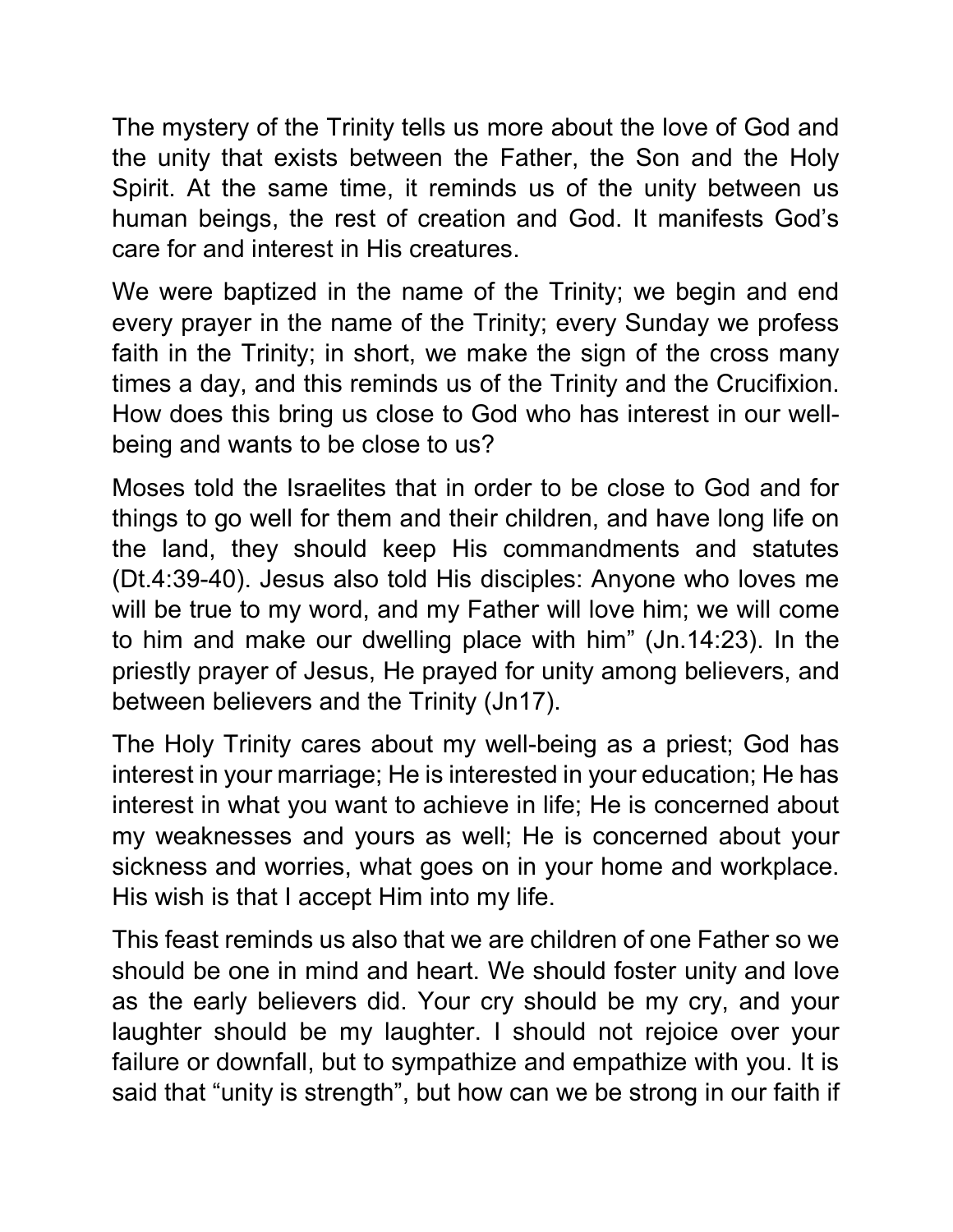The mystery of the Trinity tells us more about the love of God and the unity that exists between the Father, the Son and the Holy Spirit. At the same time, it reminds us of the unity between us human beings, the rest of creation and God. It manifests God's care for and interest in His creatures.

We were baptized in the name of the Trinity; we begin and end every prayer in the name of the Trinity; every Sunday we profess faith in the Trinity; in short, we make the sign of the cross many times a day, and this reminds us of the Trinity and the Crucifixion. How does this bring us close to God who has interest in our wellbeing and wants to be close to us?

Moses told the Israelites that in order to be close to God and for things to go well for them and their children, and have long life on the land, they should keep His commandments and statutes (Dt.4:39-40). Jesus also told His disciples: Anyone who loves me will be true to my word, and my Father will love him; we will come to him and make our dwelling place with him" (Jn.14:23). In the priestly prayer of Jesus, He prayed for unity among believers, and between believers and the Trinity (Jn17).

The Holy Trinity cares about my well-being as a priest; God has interest in your marriage; He is interested in your education; He has interest in what you want to achieve in life; He is concerned about my weaknesses and yours as well; He is concerned about your sickness and worries, what goes on in your home and workplace. His wish is that I accept Him into my life.

This feast reminds us also that we are children of one Father so we should be one in mind and heart. We should foster unity and love as the early believers did. Your cry should be my cry, and your laughter should be my laughter. I should not rejoice over your failure or downfall, but to sympathize and empathize with you. It is said that "unity is strength", but how can we be strong in our faith if